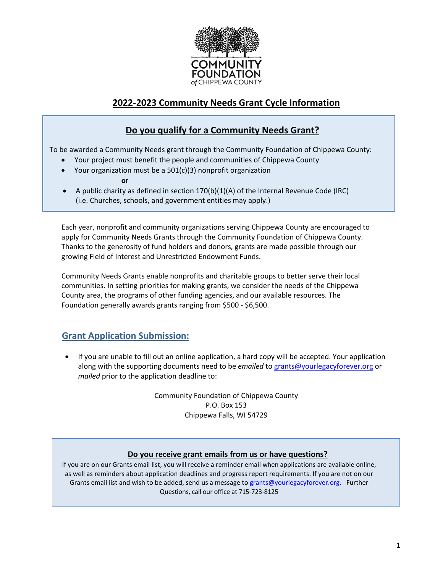

# **2022-2023 Community Needs Grant Cycle Information**

## **Do you qualify for a Community Needs Grant?**

To be awarded a Community Needs grant through the Community Foundation of Chippewa County:

- Your project must benefit the people and communities of Chippewa County
- Your organization must be a  $501(c)(3)$  nonprofit organization

**or** 

• A public charity as defined in section 170(b)(1)(A) of the Internal Revenue Code (IRC) (i.e. Churches, schools, and government entities may apply.)

Each year, nonprofit and community organizations serving Chippewa County are encouraged to apply for Community Needs Grants through the Community Foundation of Chippewa County. Thanks to the generosity of fund holders and donors, grants are made possible through our growing Field of Interest and Unrestricted Endowment Funds.

Community Needs Grants enable nonprofits and charitable groups to better serve their local communities. In setting priorities for making grants, we consider the needs of the Chippewa County area, the programs of other funding agencies, and our available resources. The Foundation generally awards grants ranging from \$500 - \$6,500.

### **Grant Application Submission:**

• If you are unable to fill out an online application, a hard copy will be accepted. Your application along with the supporting documents need to be *emailed* to [grants@yourlegacyforever.org](mailto:grants@yourlegacyforever.org?subject=Grant%20Submission) or *mailed* prior to the application deadline to:

> Community Foundation of Chippewa County P.O. Box 153 Chippewa Falls, WI 54729

#### **Do you receive grant emails from us or have questions?**

If you are on our Grants email list, you will receive a reminder email when applications are available online, as well as reminders about application deadlines and progress report requirements. If you are not on our Grants email list and wish to be added, send us a message t[o grants@yourlegacyforever.org. Further](mailto:grants@yourlegacyforever.org.%20%20%20Further) Questions, call our office at 715-723-8125